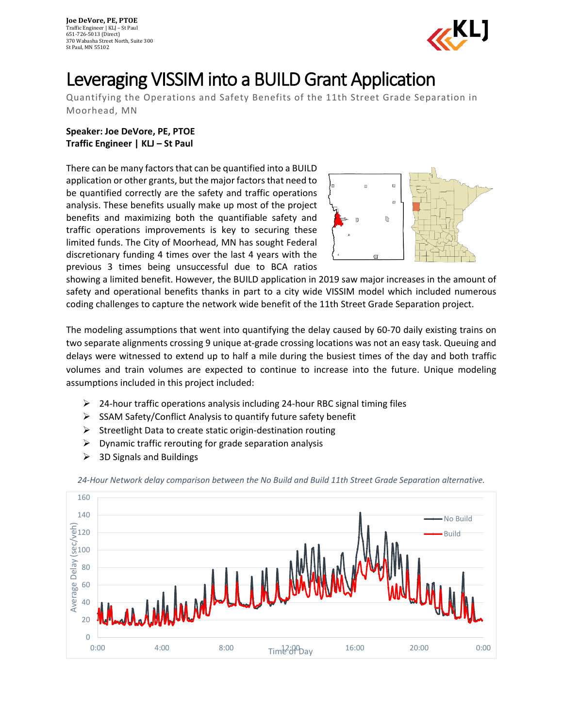

## Leveraging VISSIM into a BUILD Grant Application

Quantifying the Operations and Safety Benefits of the 11th Street Grade Separation in Moorhead, MN

**Speaker: Joe DeVore, PE, PTOE Traffic Engineer | KLJ – St Paul**

There can be many factors that can be quantified into a BUILD application or other grants, but the major factors that need to be quantified correctly are the safety and traffic operations analysis. These benefits usually make up most of the project benefits and maximizing both the quantifiable safety and traffic operations improvements is key to securing these limited funds. The City of Moorhead, MN has sought Federal discretionary funding 4 times over the last 4 years with the previous 3 times being unsuccessful due to BCA ratios



showing a limited benefit. However, the BUILD application in 2019 saw major increases in the amount of safety and operational benefits thanks in part to a city wide VISSIM model which included numerous coding challenges to capture the network wide benefit of the 11th Street Grade Separation project.

The modeling assumptions that went into quantifying the delay caused by 60-70 daily existing trains on two separate alignments crossing 9 unique at-grade crossing locations was not an easy task. Queuing and delays were witnessed to extend up to half a mile during the busiest times of the day and both traffic volumes and train volumes are expected to continue to increase into the future. Unique modeling assumptions included in this project included:

- $\geq$  24-hour traffic operations analysis including 24-hour RBC signal timing files
- $\triangleright$  SSAM Safety/Conflict Analysis to quantify future safety benefit
- $\triangleright$  Streetlight Data to create static origin-destination routing
- $\triangleright$  Dynamic traffic rerouting for grade separation analysis
- $\geq$  3D Signals and Buildings



*24-Hour Network delay comparison between the No Build and Build 11th Street Grade Separation alternative.*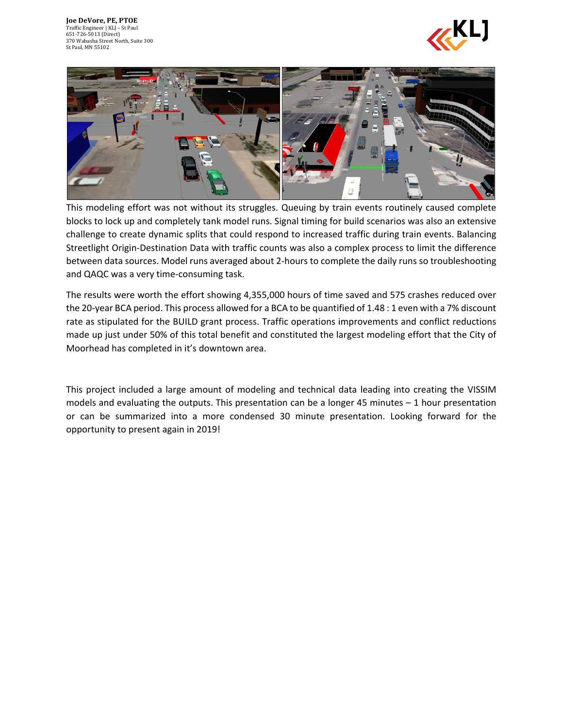



This modeling effort was not without its struggles. Queuing by train events routinely caused complete blocks to lock up and completely tank model runs. Signal timing for build scenarios was also an extensive challenge to create dynamic splits that could respond to increased traffic during train events. Balancing Streetlight Origin-Destination Data with traffic counts was also a complex process to limit the difference between data sources. Model runs averaged about 2-hours to complete the daily runs so troubleshooting and QAQC was a very time-consuming task.

The results were worth the effort showing 4,355,000 hours of time saved and 575 crashes reduced over the 20-year BCA period. This process allowed for a BCA to be quantified of 1.48 : 1 even with a 7% discount rate as stipulated for the BUILD grant process. Traffic operations improvements and conflict reductions made up just under 50% of this total benefit and constituted the largest modeling effort that the City of Moorhead has completed in it's downtown area.

This project included a large amount of modeling and technical data leading into creating the VISSIM models and evaluating the outputs. This presentation can be a longer 45 minutes – 1 hour presentation or can be summarized into a more condensed 30 minute presentation. Looking forward for the opportunity to present again in 2019!